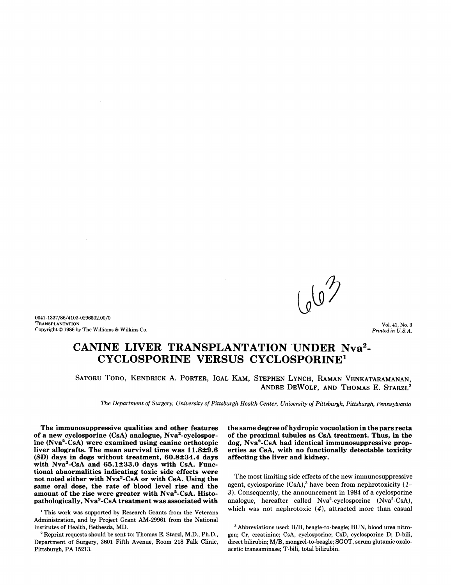0041-1337/86/4103-0296\$02.00/0 TRANSPLANTATION Copyright © 1986 by The Williams & Wilkins Co.

Vol. 41, No.3 *Printed in U.S.A.* 

# CANINE LIVER TRANSPLANTATION UNDER Nva<sup>2</sup>-CYCLOSPORINE VERSUS CYCLOSPORINE1

SATORU TODO, KENDRICK A. PORTER, IGAL KAM, STEPHEN LYNCH, RAMAN VENKATARAMANAN, ANDRE DEWOLF, AND THOMAS E. STARZL<sup>2</sup>

*The Department of Surgery, University of Pittsburgh Health Center, University of Pittsburgh, Pittsburgh, Pennsylvania* 

The immunosuppressive qualities and other features of a new cyclosporine (CsA) analogue, Nva2 -cyclosporine (Nva2 -CsA) were examined using canine orthotopic liver allografts. The mean survival time was 11.8±9.6 (SD) days in dogs without treatment, 60.8±34.4 days with Nva<sup>2</sup>-CsA and 65.1±33.0 days with CsA. Functional abnormalities indicating toxic side effects were not noted either with Nva<sup>2</sup>-CsA or with CsA. Using the same oral dose, the rate of blood level rise and the amount of the rise were greater with Nva2 -CsA. Histopathologically, Nva<sup>2</sup>-CsA treatment was associated with

<sup>1</sup> This work was supported by Research Grants from the Veterans Administration, and by Project Grant AM-29961 from the National Institutes of Health, Bethesda, MD.

2 Reprint requests should be sent to: Thomas E. Starzl, M.D., Ph.D., Department of Surgery, 3601 Fifth Avenue, Room 218 Falk Clinic, Pittsburgh, PA 15213.

the same degree of hydropic vocuolation in the pars recta of the proximal tubules as CsA treatment. Thus, in the dog, Nva2 -CsA had identical immunosuppressive properties as CsA, with no functionally detectable toxicity affecting the liver and kidney.

The most limiting side effects of the new immunosuppressive agent, cyclosporine  $(CsA)$ ,<sup>3</sup> have been from nephrotoxicity  $(1-$ 3). Consequently, the announcement in 1984 of a cyclosporine analogue, hereafter called Nva<sup>2</sup>-cyclosporine (Nva<sup>2</sup>-CsA), which was not nephrotoxic (4), attracted more than casual

3 Abbreviations used: *BIB,* beagle-to-beagle; BUN, blood urea nitrogen; Cr, creatinine; CsA, cyclosporine; CsD, cyclosporine D; D-bili, direct bilirubin; M/B, mongrel-to-beagle; SGOT, serum glutamic oxaloacetic transaminase; T -bili, total bilirubin.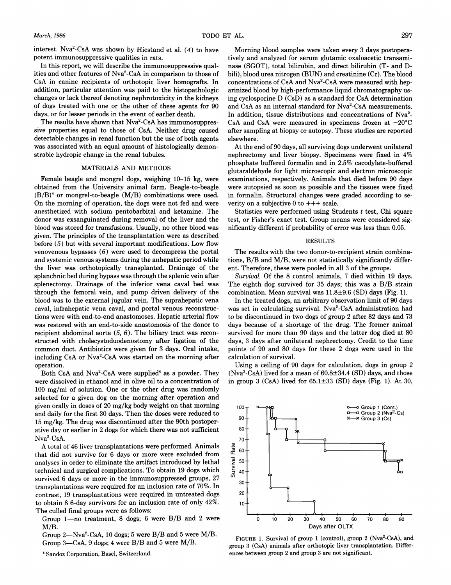*March, 1986* 297

interest. Nva<sup>2</sup>-CsA was shown by Hiestand et al. (4) to have potent immunosuppressive qualities in rats.

In this report, we will describe the immunosuppressive qualities and other features of Nva2-CsA in comparison to those of CsA in canine recipients of orthotopic liver homografts. In addition, particular attention was paid to the histopathologic changes or lack thereof denoting nephrotoxicity in the kidneys of dogs treated with one or the other of these agents for 90 days, or for lesser periods in the event of earlier death.

The results have shown that Nva<sup>2</sup>-CsA has immunosuppressive properties equal to those of CsA. Neither drug caused detectable changes in renal function but the use of both agents was associated with an equal amount of histologically demonstrable hydropic change in the renal tubules.

#### MATERIALS AND METHODS

Female beagle and mongrel dogs, weighing 10-15 kg, were obtained from the University animal farm. Beagle-to-beagle  $(B/B)^4$  or mongrel-to-beagle  $(M/B)$  combinations were used. On the morning of operation, the dogs were not fed and were anesthetized with sodium pentobarbital and ketamine. The donor was exsanguinated during removal of the liver and the blood was stored for transfusions. Usually, no other blood was given. The principles of the transplantation were as described before (5) but with several important modifications. Low flow venovenous bypasses  $(6)$  were used to decompress the portal and systemic venous systems during the anhepatic period while the liver was orthotopically transplanted. Drainage of the splanchnic bed during bypass was through the splenic vein after splenectomy. Drainage of the inferior vena caval bed was through the femoral vein, and pump driven delivery of the blood was to the external jugular vein. The suprahepatic vena caval, infrahepatic vena caval, and portal venous reconstructions were with end-to-end anastomoses. Hepatic arterial flow was restored with an end-to-side anastomosis of the donor to recipient abdominal aorta  $(5, 6)$ . The biliary tract was reconstructed with cholecystoduodenostomy after ligation of the common duct. Antibiotics were given for 3 days. Oral intake, including CsA or Nva2-CsA was started on the morning after operation.

Both CsA and Nva<sup>2</sup>-CsA were supplied<sup>4</sup> as a powder. They were dissolved in ethanol and in olive oil to a concentration of 100 mg/ml of solution. One or the other drug was randomly selected for a given dog on the morning after operation and given orally in doses of 20 mg/kg body weight on that morning and daily for the first 30 days. Then the doses were reduced to 15 mg/kg. The drug was discontinued after the 90th postoperative day or earlier in 2 dogs for which there was not sufficient Nva2-CsA.

A total of 46 liver transplantations were performed. Animals that did not survive for 6 days or more were excluded from analyses in order to eliminate the artifact introduced by lethal technical and surgical complications. To obtain 19 dogs which survived 6 days or more in the immunosuppressed groups, 27 transplantations were required for an inclusion rate of 70%. In contrast, 19 transplantations were required in untreated dogs to obtain 8 6-day survivors for an inclusion rate of only 42%. The culled final groups were as follows:

Group  $1$ -no treatment, 8 dogs; 6 were B/B and 2 were M/B.

Group 2-Nva<sup>2</sup>-CsA, 10 dogs; 5 were B/B and 5 were M/B. Group  $3$ —CsA, 9 dogs; 4 were B/B and 5 were M/B.

• Sandoz Corporation, Basel, Switzerland.

Morning blood samples were taken every 3 days postoperatively and analyzed for serum glutamic oxaloacetic transaminase (SGOT), total bilirubin, and direct bilirubin (T- and Dbili), blood urea nitrogen (BUN) and creatinine (Cr). The blood concentrations of CsA and Nva<sup>2</sup>-CsA were measured with heparinized blood by high-performance liquid chromatography using cyclosporine D (CsD) as a standard for CsA determination and CsA as an internal standard for Nva<sup>2</sup>-CsA measurements. In addition, tissue distributions and concentrations of Nva<sup>2</sup>-CsA and CsA were measured in specimens frozen at  $-20^{\circ}$ C after sampling at biopsy or autopsy. These studies are reported elsewhere.

At the end of 90 days, all surviving dogs underwent unilateral nephrectomy and liver biopsy. Specimens were fixed in 4% phosphate buffered formalin and in 2.5% cacodylate-buffered glutaraldehyde for light microscopic and electron microscopic examinations, respectively. Animals that died before 90 days were autopsied as soon as possible and the tissues were fixed in formalin. Structural changes were graded according to severity on a subjective  $0$  to  $+++$  scale.

Statistics were performed using Students *t* test, Chi square test, or Fisher's exact test. Group means were considered significantly different if probability of error was less than 0.05.

### RESULTS

The results with the two donor-to-recipient strain combinations,  $B/B$  and  $M/B$ , were not statistically significantly different. Therefore, these were pooled in all 3 of the groups.

*Survival.* Of the 8 control animals, 7 died within 19 days. The eighth dog survived for 35 days; this was a B/B strain combination. Mean survival was  $11.8\pm9.6$  (SD) days (Fig. 1).

In the treated dogs, an arbitrary observation limit of 90 days was set in calculating survival. Nva<sup>2</sup>-CsA administration had to be discontinued in two dogs of group 2 after 82 days and 73 days because of a shortage of the drug. The former animal survived for more than 90 days and the latter dog died at 80 days, 3 days after unilateral nephrectomy. Credit to the time points of 90 and 80 days for these 2 dogs were used in the calculation of survival.

Using a ceiling of 90 days for calculation, dogs in group 2  $(Nva<sup>2</sup>-CsA)$  lived for a mean of  $60.8\pm34.4$  (SD) days, and those in group 3 (CsA) lived for  $65.1\pm33$  (SD) days (Fig. 1). At 30,



FIGURE 1. Survival of group 1 (control), group 2 (Nva<sup>2</sup>-CsA), and group 3 (CsA) animals after orthotopic liver transplantation. Differences between group 2 and group 3 are not significant.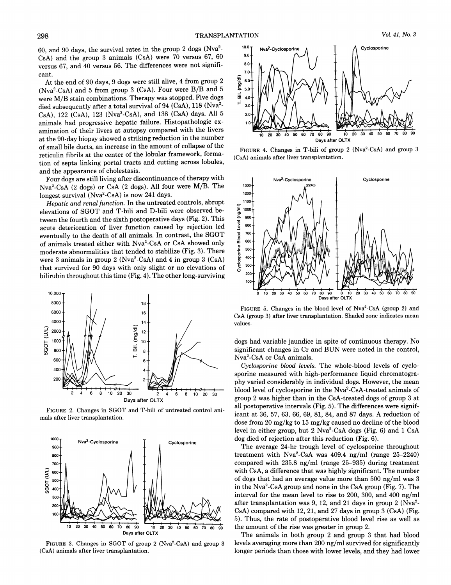60, and 90 days, the survival rates in the group 2 dogs (Nva2- CsA) and the group 3 animals (CsA) were 70 versus 67, 60 versus 67, and 40 versus 56. The differences were not significant.

At the end of 90 days, 9 dogs were still alive, 4 from group 2 (Nva2-CsA) and 5 from group 3 (CsA). Four were B/B and 5 were M/B stain combinations. Therapy was stopped. Five dogs died subsequently after a total survival of 94 (CsA), 118 (Nva<sup>2</sup>-CsA), 122 (CsA), 123 (Nva<sup>2</sup>-CsA), and 138 (CsA) days. All 5 animals had progressive hepatic failure. Histopathologic examination of their livers at autopsy compared with the livers at the 90-day biopsy showed a striking reduction in the number of small bile ducts, an increase in the amount of collapse of the reticulin fibrils at the center of the lobular framework, formation of septa linking portal tracts and cutting across lobules, and the appearance of cholestasis.

Four dogs are still living after discontinuance of therapy with Nva2-CsA (2 dogs) or CsA (2 dogs). All four were M/B. The longest survival  $(Nva<sup>2</sup>-CsA)$  is now 241 days.

*Hepatic and renal function.* In the untreated controls, abrupt elevations of SGOT and T-bili and D-bili were observed between the fourth and the sixth postoperative days (Fig. 2). This acute deterioration of liver function caused by rejection led eventually to the death of all animals. In contrast, the SGOT of animals treated either with Nva2-CsA or CsA showed only moderate abnormalities that tended to stabilize (Fig. 3). There were 3 animals in group 2 ( $Nva<sup>2</sup>-CsA$ ) and 4 in group 3 ( $CsA$ ) that survived for 90 days with only slight or no elevations of bilirubin throughout this time (Fig. 4). The other long-surviving



FIGURE 2. Changes in SGOT and T -bili of untreated control animals after liver transplantation.



FIGURE 3. Changes in SGOT of group 2 (Nva<sup>2</sup>-CsA) and group 3 (CsA) animals after liver transplantation.



FIGURE 4. Changes in T-bili of group 2 (Nva<sup>2</sup>-CsA) and group 3 (CsA) animals after liver transplantation.



FIGURE 5. Changes in the blood level of Nva<sup>2</sup>-CsA (group 2) and CsA (group 3) after liver transplantation. Shaded zone indicates mean values.

dogs had variable jaundice in spite of continuous therapy. No significant changes in Cr and BUN were noted in the control, Nva2-CsA or CsA animals.

*Cyclosporine blood levels.* The whole-blood levels of cyclosporine measured with high-performance liquid chromatography varied considerably in individual dogs. However, the mean blood level of cyclosporine in the Nva2-CsA-treated animals of group 2 was higher than in the CsA-treated dogs of group 3 at all postoperative intervals (Fig. 5). The differences were significant at 36, 57, 63, 66, 69, 81, 84, and 87 days. A reduction of dose from 20 mg/kg to 15 mg/kg caused no decline of the blood level in either group, but 2 Nva2 -CsA dogs (Fig. 6) and 1 CsA dog died of rejection after this reduction (Fig. 6).

The average 24-hr trough level of cyclosporine throughout treatment with  $Nva^2$ -CsA was 409.4 ng/ml (range 25-2240) compared with 235.8 ng/ml (range 25-935) during treatment with CsA, a difference that was highly significant. The number of dogs that had an average value more than 500 ng/ml was 3 in the Nva2-CsA group and none in the CsA group (Fig. 7). The interval for the mean level to rise to 200, 300, and 400 ng/ml after transplantation was 9, 12, and 21 days in group 2 ( $Nva<sup>2</sup>$ -CsA) compared with 12,21, and 27 days in group 3 (CsA) (Fig. 5). Thus, the rate of postoperative blood level rise as well as the amount of the rise was greater in group 2.

The animals in both group 2 and group 3 that had blood levels averaging more than 200 ng/ml survived for significantly longer periods than those with lower levels, and they had lower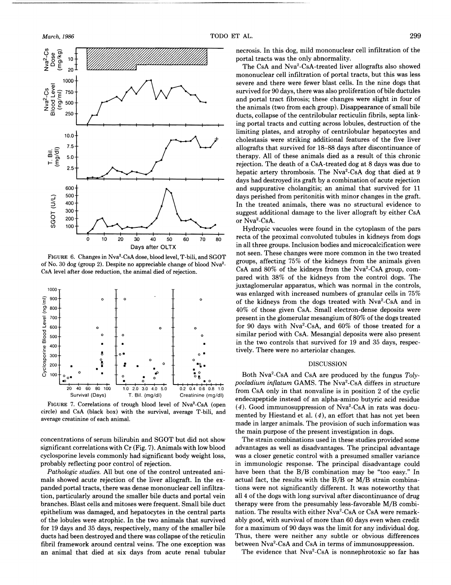

FIGURE 6. Changes in Nva<sup>2</sup>-CsA dose, blood level, T-bili, and SGOT of No. 30 dog (group 2). Despite no appreciable change of blood Nva2- CsA level after dose reduction, the animal died of rejection.



FIGURE 7. Correlations of trough blood level of Nva2-CsA (open circle) and CsA (black box) with the survival, average T-bili, and average creatinine of each animaL

concentrations of serum bilirubin and SGOT but did not show significant correlations with Cr (Fig. 7). Animals with low blood cyclosporine levels commonly had significant body weight loss, probably reflecting poor control of rejection.

*Pathologic studies.* All but one of the control untreated animals showed acute rejection of the liver allograft. In the expanded portal tracts, there was dense mononuclear cell infiltration, particularly around the smaller bile ducts and portal vein branches. Blast cells and mitoses were frequent. Small bile duct epithelium was damaged, and hepatocytes in the central parts of the lobules were atrophic. In the two animals that survived for 19 days and 35 days, respectively, many of the smaller bile ducts had been destroyed and there was collapse of the reticulin fibril framework around central veins. The one exception was an animal that died at six days from acute renal tubular

necrosis. In this dog, mild mononuclear cell infiltration of the portal tracts was the only abnormality.

The CsA and Nva<sup>2</sup>-CsA-treated liver allografts also showed mononuclear cell infiltration of portal tracts, but this was less severe and there were fewer blast cells. In the nine dogs that survived for 90 days, there was also proliferation of bile ductules and portal tract fibrosis; these changes were slight in four of the animals (two from each group). Disappearance of small bile ducts, collapse of the centrilobular recticulin fibrils, septa linking portal tracts and cutting across lobules, destruction of the limiting plates, and atrophy of centrilobular hepatocytes and cholestasis were striking additional features of the five liver allografts that survived for 18-88 days after discontinuance of therapy. All of these animals died as a result of this chronic rejection. The death of a CsA-treated dog at 8 days was due to hepatic artery thrombosis. The Nva<sup>2</sup>-CsA dog that died at 9 days had destroyed its graft by a combination of acute rejection and suppurative cholangitis; an animal that survived for 11 days perished from peritonitis with minor changes in the graft. In the treated animals, there was no structural evidence to suggest additional damage to the liver allograft by either CsA or Nva2 -CsA.

Hydropic vacuoles were found in the cytoplasm of the pars recta of the proximal convoluted tubules in kidneys from dogs in all three groups. Inclusion bodies and microcalcification were not seen. These changes were more common in the two treated groups, affecting 75% of the kidneys from the animals given CsA and  $80\%$  of the kidneys from the Nva<sup>2</sup>-CsA group, compared with 38% of the kidneys from the control dogs. The juxtaglomerular apparatus, which was normal in the controls, was enlarged with increased numbers of granular cells in 75% of the kidneys from the dogs treated with Nva2-CsA and in 40% of those given CsA. Small electron-dense deposits were present in the glomerular mesangium of 80% of the dogs treated for 90 days with Nva2-CsA, and 60% of those treated for a similar period with CsA. Mesangial deposits were also present in the two controls that survived for 19 and 35 days, respectively. There were no arteriolar changes.

## DISCUSSION

Both Nva2-CsA and CsA are produced by the fungus *Tolypocladium inflatum GAMS. The Nva<sup>2</sup>-CsA differs in structure* from CsA only in that nonvaline is in position 2 of the cyclic endecapeptide instead of an alpha-amino butyric acid residue  $(4)$ . Good immunosuppression of Nva<sup>2</sup>-CsA in rats was documented by Hiestand et al. (4), an effort that has not yet been made in larger animals. The provision of such information was the main purpose of the present investigation in dogs.

The strain combinations used in these studies provided some advantages as well as disadvantages. The principal advantage was a closer genetic control with a presumed smaller variance in immunologic response. The principal disadvantage could have been that the B/B combination may be "too easy." In actual fact, the results with the *BIB* or *M/B* strain combinations were not significantly different. It was noteworthy that all 4 of the dogs with long survival after discontinuance of drug therapy were from the presumably less-favorable *M/B* combination. The results with either Nva<sup>2</sup>-CsA or CsA were remarkably good, with survival of more than 60 days even when credit for a maximum of 90 days was the limit for any individual dog. Thus, there were neither any subtle or obvious differences between Nva<sup>2</sup>-CsA and CsA in terms of immunosuppression.

The evidence that Nva<sup>2</sup>-CsA is nonnephrotoxic so far has